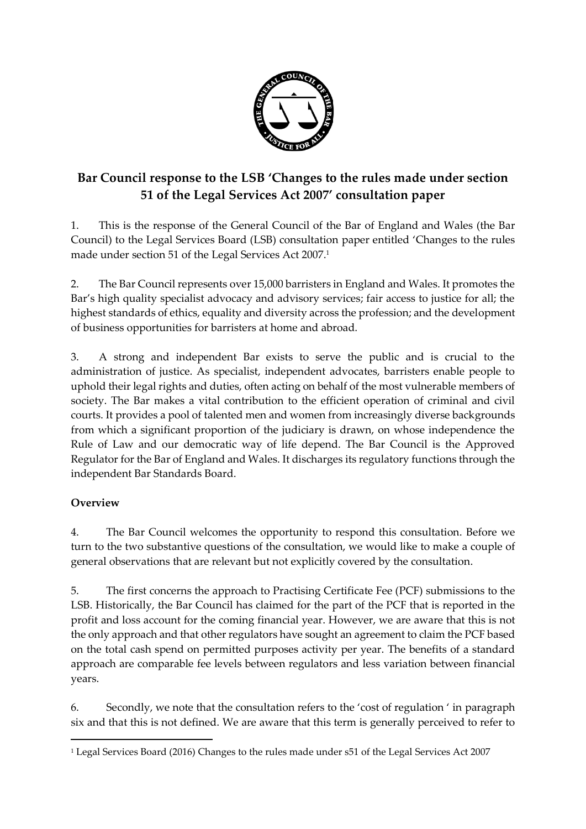

## **Bar Council response to the LSB 'Changes to the rules made under section 51 of the Legal Services Act 2007' consultation paper**

1. This is the response of the General Council of the Bar of England and Wales (the Bar Council) to the Legal Services Board (LSB) consultation paper entitled 'Changes to the rules made under section 51 of the Legal Services Act 2007. 1

2. The Bar Council represents over 15,000 barristers in England and Wales. It promotes the Bar's high quality specialist advocacy and advisory services; fair access to justice for all; the highest standards of ethics, equality and diversity across the profession; and the development of business opportunities for barristers at home and abroad.

3. A strong and independent Bar exists to serve the public and is crucial to the administration of justice. As specialist, independent advocates, barristers enable people to uphold their legal rights and duties, often acting on behalf of the most vulnerable members of society. The Bar makes a vital contribution to the efficient operation of criminal and civil courts. It provides a pool of talented men and women from increasingly diverse backgrounds from which a significant proportion of the judiciary is drawn, on whose independence the Rule of Law and our democratic way of life depend. The Bar Council is the Approved Regulator for the Bar of England and Wales. It discharges its regulatory functions through the independent Bar Standards Board.

## **Overview**

 $\overline{a}$ 

4. The Bar Council welcomes the opportunity to respond this consultation. Before we turn to the two substantive questions of the consultation, we would like to make a couple of general observations that are relevant but not explicitly covered by the consultation.

5. The first concerns the approach to Practising Certificate Fee (PCF) submissions to the LSB. Historically, the Bar Council has claimed for the part of the PCF that is reported in the profit and loss account for the coming financial year. However, we are aware that this is not the only approach and that other regulators have sought an agreement to claim the PCF based on the total cash spend on permitted purposes activity per year. The benefits of a standard approach are comparable fee levels between regulators and less variation between financial years.

6. Secondly, we note that the consultation refers to the 'cost of regulation ' in paragraph six and that this is not defined. We are aware that this term is generally perceived to refer to

<sup>1</sup> Legal Services Board (2016) Changes to the rules made under s51 of the Legal Services Act 2007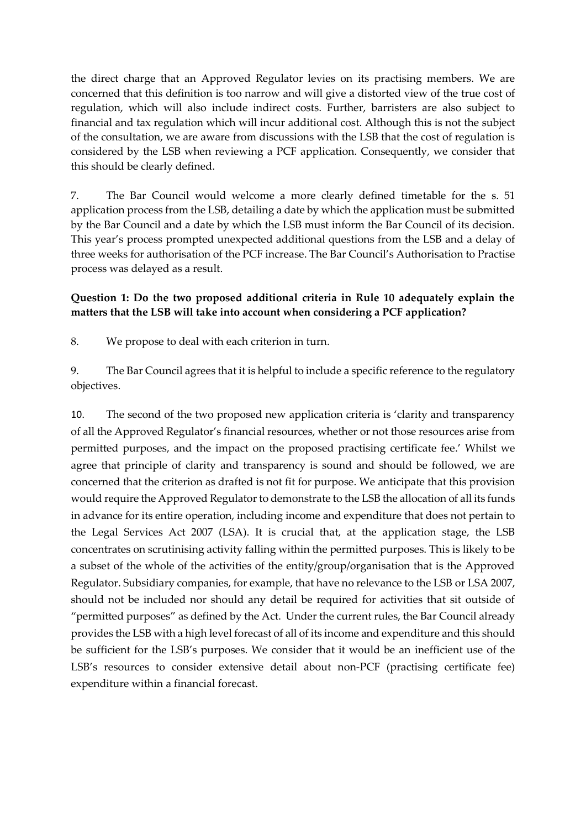the direct charge that an Approved Regulator levies on its practising members. We are concerned that this definition is too narrow and will give a distorted view of the true cost of regulation, which will also include indirect costs. Further, barristers are also subject to financial and tax regulation which will incur additional cost. Although this is not the subject of the consultation, we are aware from discussions with the LSB that the cost of regulation is considered by the LSB when reviewing a PCF application. Consequently, we consider that this should be clearly defined.

7. The Bar Council would welcome a more clearly defined timetable for the s. 51 application process from the LSB, detailing a date by which the application must be submitted by the Bar Council and a date by which the LSB must inform the Bar Council of its decision. This year's process prompted unexpected additional questions from the LSB and a delay of three weeks for authorisation of the PCF increase. The Bar Council's Authorisation to Practise process was delayed as a result.

## **Question 1: Do the two proposed additional criteria in Rule 10 adequately explain the matters that the LSB will take into account when considering a PCF application?**

8. We propose to deal with each criterion in turn.

9. The Bar Council agrees that it is helpful to include a specific reference to the regulatory objectives.

10. The second of the two proposed new application criteria is 'clarity and transparency of all the Approved Regulator's financial resources, whether or not those resources arise from permitted purposes, and the impact on the proposed practising certificate fee.' Whilst we agree that principle of clarity and transparency is sound and should be followed, we are concerned that the criterion as drafted is not fit for purpose. We anticipate that this provision would require the Approved Regulator to demonstrate to the LSB the allocation of all its funds in advance for its entire operation, including income and expenditure that does not pertain to the Legal Services Act 2007 (LSA). It is crucial that, at the application stage, the LSB concentrates on scrutinising activity falling within the permitted purposes. This is likely to be a subset of the whole of the activities of the entity/group/organisation that is the Approved Regulator. Subsidiary companies, for example, that have no relevance to the LSB or LSA 2007, should not be included nor should any detail be required for activities that sit outside of "permitted purposes" as defined by the Act. Under the current rules, the Bar Council already provides the LSB with a high level forecast of all of its income and expenditure and this should be sufficient for the LSB's purposes. We consider that it would be an inefficient use of the LSB's resources to consider extensive detail about non-PCF (practising certificate fee) expenditure within a financial forecast.